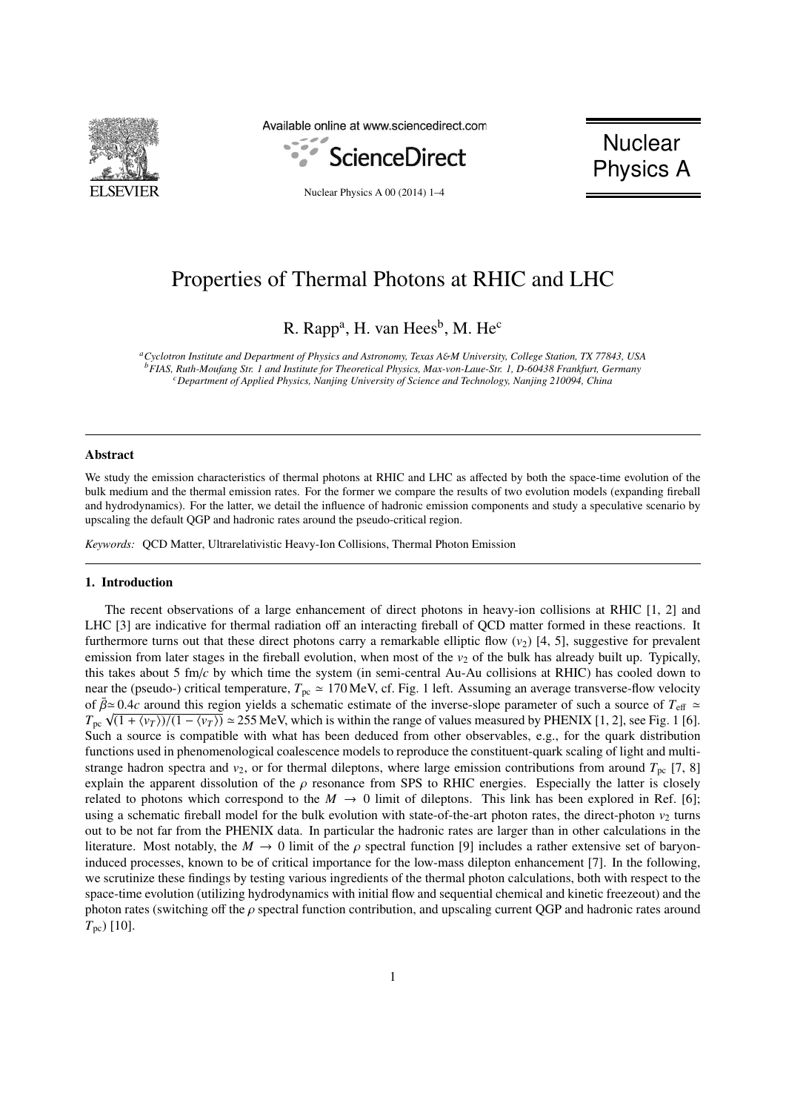

Available online at www.sciencedirect.com



**Nuclear** Physics A

Nuclear Physics A 00 (2014) 1–4

# Properties of Thermal Photons at RHIC and LHC

R. Rapp<sup>a</sup>, H. van Hees<sup>b</sup>, M. He<sup>c</sup>

*<sup>a</sup>Cyclotron Institute and Department of Physics and Astronomy, Texas A*&*M University, College Station, TX 77843, USA <sup>b</sup>FIAS, Ruth-Moufang Str. 1 and Institute for Theoretical Physics, Max-von-Laue-Str. 1, D-60438 Frankfurt, Germany <sup>c</sup>Department of Applied Physics, Nanjing University of Science and Technology, Nanjing 210094, China*

## Abstract

We study the emission characteristics of thermal photons at RHIC and LHC as affected by both the space-time evolution of the bulk medium and the thermal emission rates. For the former we compare the results of two evolution models (expanding fireball and hydrodynamics). For the latter, we detail the influence of hadronic emission components and study a speculative scenario by upscaling the default QGP and hadronic rates around the pseudo-critical region.

*Keywords:* QCD Matter, Ultrarelativistic Heavy-Ion Collisions, Thermal Photon Emission

#### 1. Introduction

The recent observations of a large enhancement of direct photons in heavy-ion collisions at RHIC [1, 2] and LHC [3] are indicative for thermal radiation off an interacting fireball of QCD matter formed in these reactions. It furthermore turns out that these direct photons carry a remarkable elliptic flow  $(v_2)$  [4, 5], suggestive for prevalent emission from later stages in the fireball evolution, when most of the  $v<sub>2</sub>$  of the bulk has already built up. Typically, this takes about 5 fm/*c* by which time the system (in semi-central Au-Au collisions at RHIC) has cooled down to near the (pseudo-) critical temperature,  $T_{pc} \approx 170 \text{ MeV}$ , cf. Fig. 1 left. Assuming an average transverse-flow velocity of  $\bar{\beta} \simeq 0.4c$  around this region yields a schematic estimate of the inverse-slope parameter of such a source of  $T_{\text{eff}} \simeq$ of  $p \approx 0.4c$  around this region yields a schematic estimate of the inverse-stope parameter of such a source of  $T_{\text{eff}} \approx T_{\text{pc}} \sqrt{(1 + \langle v_T \rangle)/(1 - \langle v_T \rangle)} \approx 255$  MeV, which is within the range of values measured by PHENIX [1 Such a source is compatible with what has been deduced from other observables, e.g., for the quark distribution functions used in phenomenological coalescence models to reproduce the constituent-quark scaling of light and multistrange hadron spectra and  $v_2$ , or for thermal dileptons, where large emission contributions from around  $T_{pc}$  [7, 8] explain the apparent dissolution of the  $\rho$  resonance from SPS to RHIC energies. Especially the latter is closely related to photons which correspond to the  $M \to 0$  limit of dileptons. This link has been explored in Ref. [6]; using a schematic fireball model for the bulk evolution with state-of-the-art photon rates, the direct-photon  $v_2$  turns out to be not far from the PHENIX data. In particular the hadronic rates are larger than in other calculations in the literature. Most notably, the  $M \to 0$  limit of the  $\rho$  spectral function [9] includes a rather extensive set of baryoninduced processes, known to be of critical importance for the low-mass dilepton enhancement [7]. In the following, we scrutinize these findings by testing various ingredients of the thermal photon calculations, both with respect to the space-time evolution (utilizing hydrodynamics with initial flow and sequential chemical and kinetic freezeout) and the photon rates (switching off the  $\rho$  spectral function contribution, and upscaling current QGP and hadronic rates around *T*pc) [10].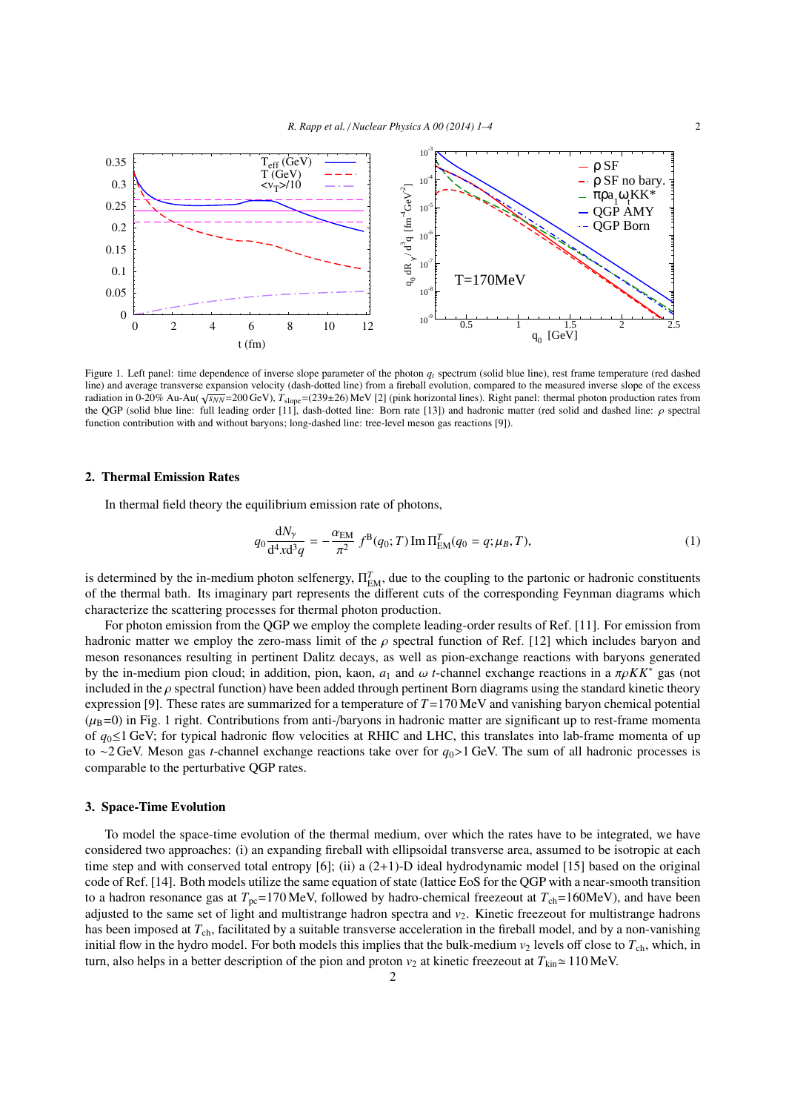

Figure 1. Left panel: time dependence of inverse slope parameter of the photon *q<sup>t</sup>* spectrum (solid blue line), rest frame temperature (red dashed line) and average transverse expansion velocity (dash-dotted line) from a fireball evolution, compared to the measured inverse slope of the excess radiation in 0-20% Au-Au( √*s<sub>NN</sub>*=200 GeV), *T*<sub>slope</sub>=(239±26) MeV [2] (pink horizontal lines). Right panel: thermal photon production rates from the QGP (solid blue line: full leading order [11], dash-dotted line: Born rate [13]) and hadronic matter (red solid and dashed line: ρ spectral function contribution with and without baryons; long-dashed line: tree-level meson gas reactions [9]).

#### 2. Thermal Emission Rates

In thermal field theory the equilibrium emission rate of photons,

$$
q_0 \frac{dN_{\gamma}}{d^4 x d^3 q} = -\frac{\alpha_{\text{EM}}}{\pi^2} f^{\text{B}}(q_0; T) \operatorname{Im} \Pi_{\text{EM}}^T(q_0 = q; \mu_B, T), \tag{1}
$$

is determined by the in-medium photon selfenergy,  $\Pi_{EM}^T$ , due to the coupling to the partonic or hadronic constituents of the thermal bath. Its imaginary part represents the different cuts of the corresponding Feynman diagrams which characterize the scattering processes for thermal photon production.

For photon emission from the QGP we employ the complete leading-order results of Ref. [11]. For emission from hadronic matter we employ the zero-mass limit of the  $\rho$  spectral function of Ref. [12] which includes baryon and meson resonances resulting in pertinent Dalitz decays, as well as pion-exchange reactions with baryons generated by the in-medium pion cloud; in addition, pion, kaon,  $a_1$  and  $\omega$  *t*-channel exchange reactions in a  $\pi \rho K K^*$  gas (not included in the  $\rho$  spectral function) have been added through pertinent Born diagrams using the standard kinetic theory expression [9]. These rates are summarized for a temperature of *T*=170 MeV and vanishing baryon chemical potential  $(\mu_B=0)$  in Fig. 1 right. Contributions from anti-/baryons in hadronic matter are significant up to rest-frame momenta of *q*0≤1 GeV; for typical hadronic flow velocities at RHIC and LHC, this translates into lab-frame momenta of up to <sup>∼</sup>2 GeV. Meson gas *<sup>t</sup>*-channel exchange reactions take over for *<sup>q</sup>*<sup>0</sup>>1 GeV. The sum of all hadronic processes is comparable to the perturbative QGP rates.

#### 3. Space-Time Evolution

To model the space-time evolution of the thermal medium, over which the rates have to be integrated, we have considered two approaches: (i) an expanding fireball with ellipsoidal transverse area, assumed to be isotropic at each time step and with conserved total entropy [6]; (ii) a (2+1)-D ideal hydrodynamic model [15] based on the original code of Ref. [14]. Both models utilize the same equation of state (lattice EoS for the QGP with a near-smooth transition to a hadron resonance gas at  $T_{pc}$ =170 MeV, followed by hadro-chemical freezeout at  $T_{ch}$ =160MeV), and have been adjusted to the same set of light and multistrange hadron spectra and *v*2. Kinetic freezeout for multistrange hadrons has been imposed at  $T_{ch}$ , facilitated by a suitable transverse acceleration in the fireball model, and by a non-vanishing initial flow in the hydro model. For both models this implies that the bulk-medium  $v_2$  levels off close to  $T_{ch}$ , which, in turn, also helps in a better description of the pion and proton  $v_2$  at kinetic freezeout at  $T_{kin} \approx 110$  MeV.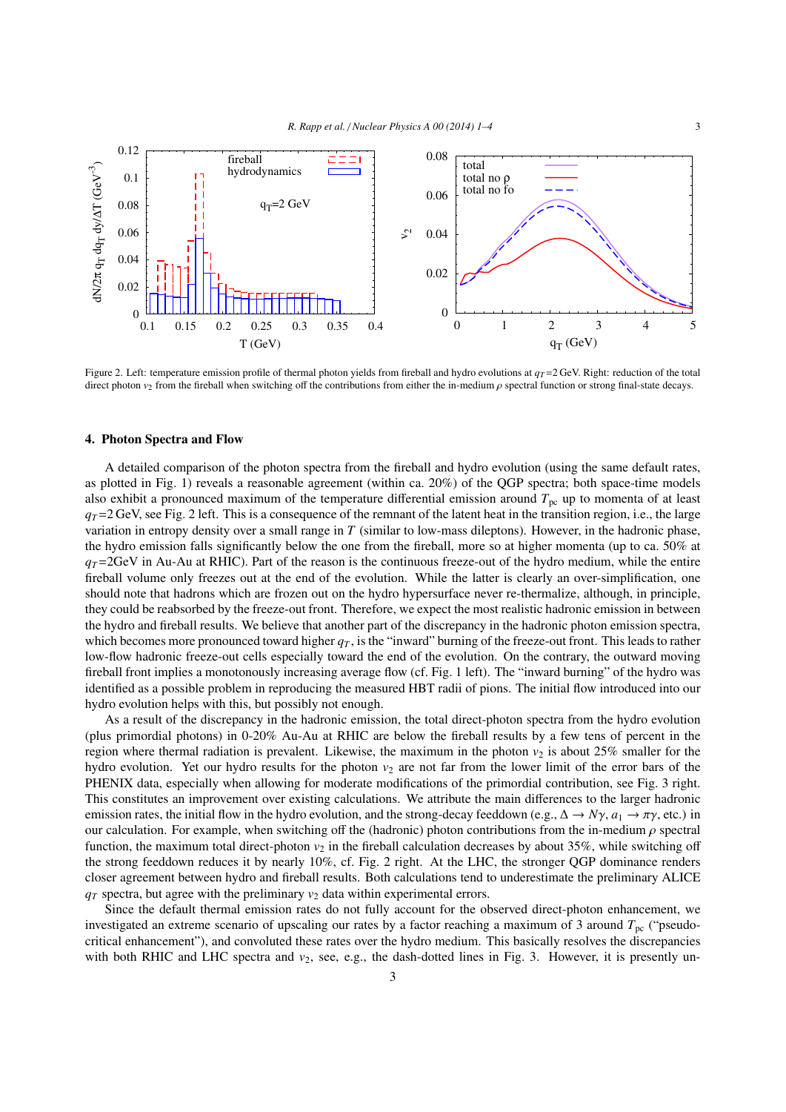

Figure 2. Left: temperature emission profile of thermal photon yields from fireball and hydro evolutions at  $q_T = 2$  GeV. Right: reduction of the total direct photon  $v_2$  from the fireball when switching off the contributions from either the in-medium  $\rho$  spectral function or strong final-state decays.

## 4. Photon Spectra and Flow

A detailed comparison of the photon spectra from the fireball and hydro evolution (using the same default rates, as plotted in Fig. 1) reveals a reasonable agreement (within ca. 20%) of the QGP spectra; both space-time models also exhibit a pronounced maximum of the temperature differential emission around  $T_{\text{pc}}$  up to momenta of at least  $q_T$ =2 GeV, see Fig. 2 left. This is a consequence of the remnant of the latent heat in the transition region, i.e., the large variation in entropy density over a small range in *T* (similar to low-mass dileptons). However, in the hadronic phase, the hydro emission falls significantly below the one from the fireball, more so at higher momenta (up to ca. 50% at  $q_T$ =2GeV in Au-Au at RHIC). Part of the reason is the continuous freeze-out of the hydro medium, while the entire fireball volume only freezes out at the end of the evolution. While the latter is clearly an over-simplification, one should note that hadrons which are frozen out on the hydro hypersurface never re-thermalize, although, in principle, they could be reabsorbed by the freeze-out front. Therefore, we expect the most realistic hadronic emission in between the hydro and fireball results. We believe that another part of the discrepancy in the hadronic photon emission spectra, which becomes more pronounced toward higher  $q<sub>T</sub>$ , is the "inward" burning of the freeze-out front. This leads to rather low-flow hadronic freeze-out cells especially toward the end of the evolution. On the contrary, the outward moving fireball front implies a monotonously increasing average flow (cf. Fig. 1 left). The "inward burning" of the hydro was identified as a possible problem in reproducing the measured HBT radii of pions. The initial flow introduced into our hydro evolution helps with this, but possibly not enough.

As a result of the discrepancy in the hadronic emission, the total direct-photon spectra from the hydro evolution (plus primordial photons) in 0-20% Au-Au at RHIC are below the fireball results by a few tens of percent in the region where thermal radiation is prevalent. Likewise, the maximum in the photon  $v_2$  is about 25% smaller for the hydro evolution. Yet our hydro results for the photon  $v_2$  are not far from the lower limit of the error bars of the PHENIX data, especially when allowing for moderate modifications of the primordial contribution, see Fig. 3 right. This constitutes an improvement over existing calculations. We attribute the main differences to the larger hadronic emission rates, the initial flow in the hydro evolution, and the strong-decay feeddown (e.g.,  $\Delta \rightarrow N\gamma$ ,  $a_1 \rightarrow \pi\gamma$ , etc.) in our calculation. For example, when switching off the (hadronic) photon contributions from the in-medium  $\rho$  spectral function, the maximum total direct-photon *v*<sub>2</sub> in the fireball calculation decreases by about 35%, while switching off the strong feeddown reduces it by nearly 10%, cf. Fig. 2 right. At the LHC, the stronger QGP dominance renders closer agreement between hydro and fireball results. Both calculations tend to underestimate the preliminary ALICE  $q<sub>T</sub>$  spectra, but agree with the preliminary  $v<sub>2</sub>$  data within experimental errors.

Since the default thermal emission rates do not fully account for the observed direct-photon enhancement, we investigated an extreme scenario of upscaling our rates by a factor reaching a maximum of 3 around  $T_{\text{pc}}$  ("pseudocritical enhancement"), and convoluted these rates over the hydro medium. This basically resolves the discrepancies with both RHIC and LHC spectra and  $v_2$ , see, e.g., the dash-dotted lines in Fig. 3. However, it is presently un-